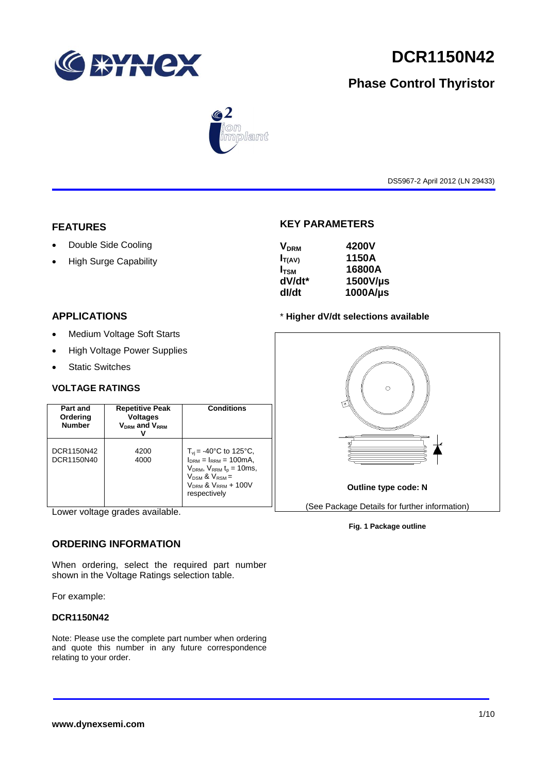

# **DCR1150N42**

# **Phase Control Thyristor**



DS5967-2 April 2012 (LN 29433)

### **FEATURES**

- Double Side Cooling
- High Surge Capability

# **KEY PARAMETERS**

| <b>V<sub>DRM</sub></b> | 4200V    |
|------------------------|----------|
| $I_{T(AV)}$            | 1150A    |
| $I_{TSM}$              | 16800A   |
| dV/dt*                 | 1500V/µs |
| dl/dt                  | 1000A/µs |
|                        |          |

# **APPLICATIONS**

- Medium Voltage Soft Starts
- High Voltage Power Supplies
- Static Switches

## **VOLTAGE RATINGS**

| Part and<br>Ordering<br><b>Number</b> | <b>Repetitive Peak</b><br><b>Voltages</b><br><b>VDRM</b> and VRRM | Conditions                                                                                                                                                                                |
|---------------------------------------|-------------------------------------------------------------------|-------------------------------------------------------------------------------------------------------------------------------------------------------------------------------------------|
| DCR1150N42<br>DCR1150N40              | 4200<br>4000                                                      | $T_{\rm vi}$ = -40°C to 125°C,<br>$I_{DRM} = I_{RRM} = 100 \text{mA}$<br>$V_{DRM}$ , $V_{RRM}$ $t_{p}$ = 10ms,<br>$V_{DSM}$ & $V_{RSM}$ =<br>$V_{DRM}$ & $V_{RRM}$ + 100V<br>respectively |

Lower voltage grades available.

### **ORDERING INFORMATION**

When ordering, select the required part number shown in the Voltage Ratings selection table.

For example:

## **DCR1150N42**

Note: Please use the complete part number when ordering and quote this number in any future correspondence relating to your order.

### \* **Higher dV/dt selections available**



**Fig. 1 Package outline**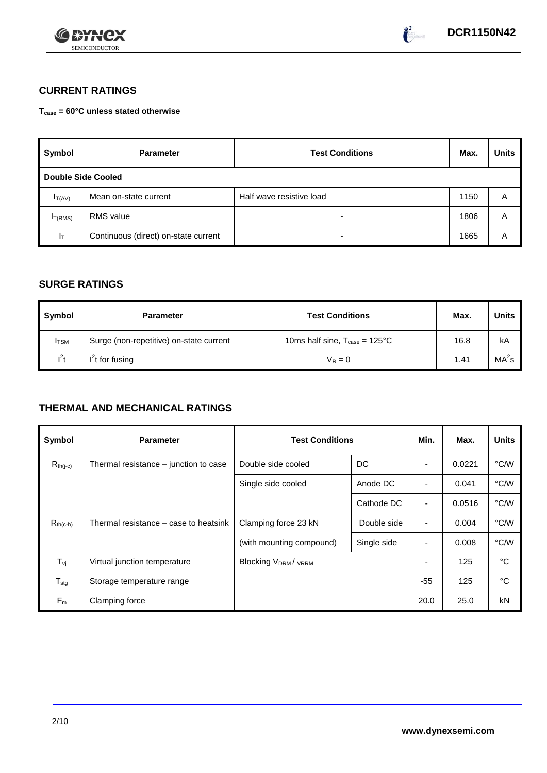



# **CURRENT RATINGS**

**Tcase = 60°C unless stated otherwise**

| Symbol                    | <b>Parameter</b>                     | <b>Test Conditions</b>   | Max. | <b>Units</b> |
|---------------------------|--------------------------------------|--------------------------|------|--------------|
| <b>Double Side Cooled</b> |                                      |                          |      |              |
| $I_{T(AV)}$               | Mean on-state current                | Half wave resistive load | 1150 | A            |
| I <sub>T(RMS)</sub>       | <b>RMS</b> value                     | -                        | 1806 | Α            |
| Iт                        | Continuous (direct) on-state current | $\overline{\phantom{0}}$ | 1665 | Α            |

## **SURGE RATINGS**

| Symbol       | <b>Parameter</b>                        | <b>Test Conditions</b>                            | Max. | <b>Units</b>      |
|--------------|-----------------------------------------|---------------------------------------------------|------|-------------------|
| <b>I</b> TSM | Surge (non-repetitive) on-state current | 10ms half sine, $T_{\text{case}} = 125^{\circ}$ C | 16.8 | kA                |
| $l^2t$       | $I2t$ for fusing                        | $V_R = 0$                                         | 1.41 | MA <sup>2</sup> s |

# **THERMAL AND MECHANICAL RATINGS**

| Symbol           | <b>Parameter</b>                      | <b>Test Conditions</b>                |             | Min.                     | Max.   | <b>Units</b> |
|------------------|---------------------------------------|---------------------------------------|-------------|--------------------------|--------|--------------|
| $R_{th(j-c)}$    | Thermal resistance – junction to case | Double side cooled<br>DC              |             |                          | 0.0221 | °C/W         |
|                  |                                       | Single side cooled                    | Anode DC    |                          | 0.041  | °C/W         |
|                  |                                       |                                       | Cathode DC  | $\overline{\phantom{a}}$ | 0.0516 | °C/W         |
| $R_{th(c-h)}$    | Thermal resistance – case to heatsink | Clamping force 23 kN                  | Double side | $\blacksquare$           | 0.004  | °C/W         |
|                  |                                       | (with mounting compound)              | Single side |                          | 0.008  | °C/W         |
| $T_{\rm vj}$     | Virtual junction temperature          | <b>Blocking V<sub>DRM</sub>/ VRRM</b> |             |                          | 125    | °C           |
| $T_{\text{stg}}$ | Storage temperature range             |                                       |             | $-55$                    | 125    | °C           |
| $F_m$            | Clamping force                        |                                       |             | 20.0                     | 25.0   | kN           |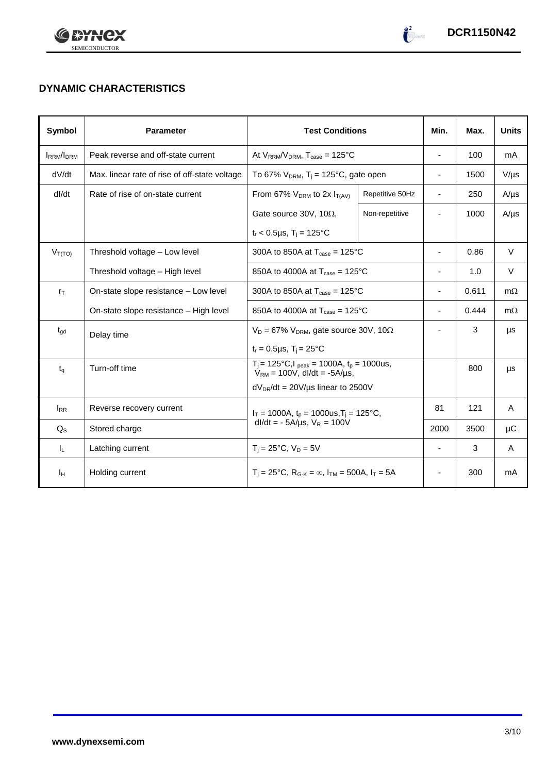



# **DYNAMIC CHARACTERISTICS**

| Symbol           | <b>Parameter</b>                              | <b>Test Conditions</b>                                                  | Min.                                               | Max.                     | <b>Units</b> |           |
|------------------|-----------------------------------------------|-------------------------------------------------------------------------|----------------------------------------------------|--------------------------|--------------|-----------|
| <b>IRRM/IDRM</b> | Peak reverse and off-state current            | At $V_{RRM}/V_{DRM}$ , $T_{case} = 125^{\circ}C$                        | $\blacksquare$                                     | 100                      | mA           |           |
| dV/dt            | Max. linear rate of rise of off-state voltage | To 67% $V_{DRM}$ , T <sub>i</sub> = 125°C, gate open                    |                                                    | $\overline{\phantom{a}}$ | 1500         | $V/\mu s$ |
| dl/dt            | Rate of rise of on-state current              | From 67% $V_{DRM}$ to 2x $I_{T(AV)}$                                    | Repetitive 50Hz                                    | $\overline{\phantom{a}}$ | 250          | $A/\mu s$ |
|                  |                                               | Gate source 30V, 10 $\Omega$ ,                                          | Non-repetitive                                     |                          | 1000         | $A/\mu s$ |
|                  |                                               | $t_r < 0.5 \mu s$ , T <sub>i</sub> = 125°C                              |                                                    |                          |              |           |
| $V_{T(TO)}$      | Threshold voltage - Low level                 | 300A to 850A at $T_{\text{case}} = 125^{\circ}$ C                       |                                                    | $\blacksquare$           | 0.86         | $\vee$    |
|                  | Threshold voltage - High level                | 850A to 4000A at $T_{\text{case}} = 125^{\circ}$ C                      | ۰                                                  | 1.0                      | V            |           |
| $r_{\text{T}}$   | On-state slope resistance – Low level         | 300A to 850A at $T_{\text{case}} = 125^{\circ}$ C                       | ä,                                                 | 0.611                    | $m\Omega$    |           |
|                  | On-state slope resistance - High level        | 850A to 4000A at $T_{\text{case}} = 125^{\circ}$ C                      | $\overline{\phantom{0}}$                           | 0.444                    | $m\Omega$    |           |
| $t_{\text{gd}}$  | Delay time                                    | $V_D = 67\%$ V <sub>DRM</sub> , gate source 30V, 10 $\Omega$            |                                                    |                          | 3            | μs        |
|                  |                                               | $t_r = 0.5 \mu s$ , $T_i = 25$ °C                                       |                                                    |                          |              |           |
| $t_{q}$          | Turn-off time                                 | $V_{RM} = 100V$ , dl/dt = -5A/µs,                                       | $T_i$ = 125°C, $I_{peak}$ = 1000A, $t_p$ = 1000us, |                          | 800          | μs        |
|                  |                                               | $dV_{DR}/dt = 20V/\mu s$ linear to 2500V                                |                                                    |                          |              |           |
| $I_{RR}$         | Reverse recovery current                      | $I_T = 1000A$ , $t_p = 1000us$ , $T_i = 125^{\circ}C$ ,                 |                                                    | 81                       | 121          | A         |
| $Q_{\rm S}$      | Stored charge                                 | $dl/dt = -5A/\mu s$ , $V_R = 100V$                                      | 2000                                               | 3500                     | μC           |           |
| ΙL.              | Latching current                              | $T_i = 25^{\circ}C$ , $V_D = 5V$                                        | $\overline{\phantom{a}}$                           | 3                        | $\mathsf{A}$ |           |
| Īн               | Holding current                               | $T_i = 25^{\circ}C$ , $R_{G-K} = \infty$ , $I_{TM} = 500A$ , $I_T = 5A$ |                                                    | -                        | 300          | mA        |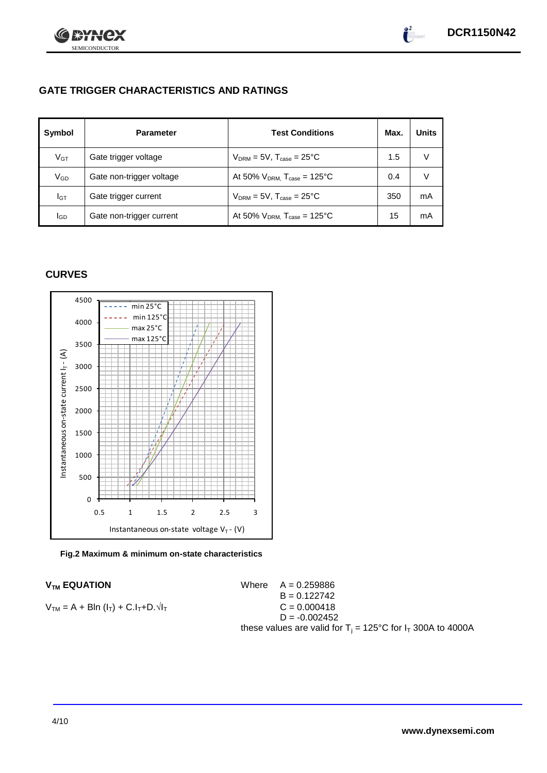

# **GATE TRIGGER CHARACTERISTICS AND RATINGS**

| Symbol       | <b>Parameter</b>         | <b>Test Conditions</b>                       | Max. | <b>Units</b> |
|--------------|--------------------------|----------------------------------------------|------|--------------|
| $V_{GT}$     | Gate trigger voltage     | $V_{DRM} = 5V$ , $T_{case} = 25^{\circ}C$    | 1.5  |              |
| $\rm V_{GD}$ | Gate non-trigger voltage | At 50% $V_{DRM}$ , $T_{case} = 125^{\circ}C$ | 0.4  |              |
| Iст          | Gate trigger current     | $V_{DRM} = 5V$ , $T_{case} = 25^{\circ}C$    | 350  | mA           |
| lgp          | Gate non-trigger current | At 50% $V_{DRM}$ , $T_{case} = 125$ °C       | 15   | mA           |

## **CURVES**





 $V_{TM}$  **EQUATION** Where  $A = 0.259886$  $B = 0.122742$  $V_{TM} = A + Bln (l_T) + C.l_T + D.1$  $D = -0.002452$ these values are valid for  $T_i = 125^{\circ}C$  for  $I_T$  300A to 4000A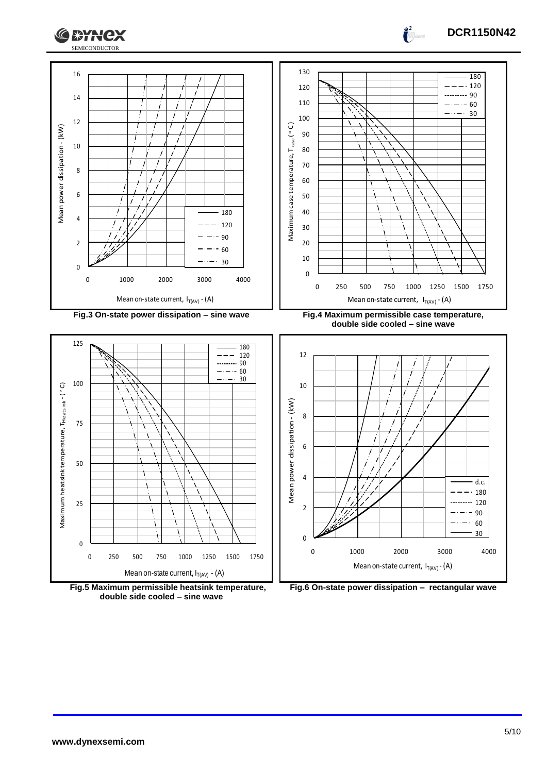





**Fig.5 Maximum permissible heatsink temperature, double side cooled – sine wave**



Mean on-state current,  $I_{T(AV)}$  - (A)

 $\overline{0}$ 

 $\mathbf 0$ 

 $rac{60}{30}$ 

**DCR1150N42**

 $\int_0^2$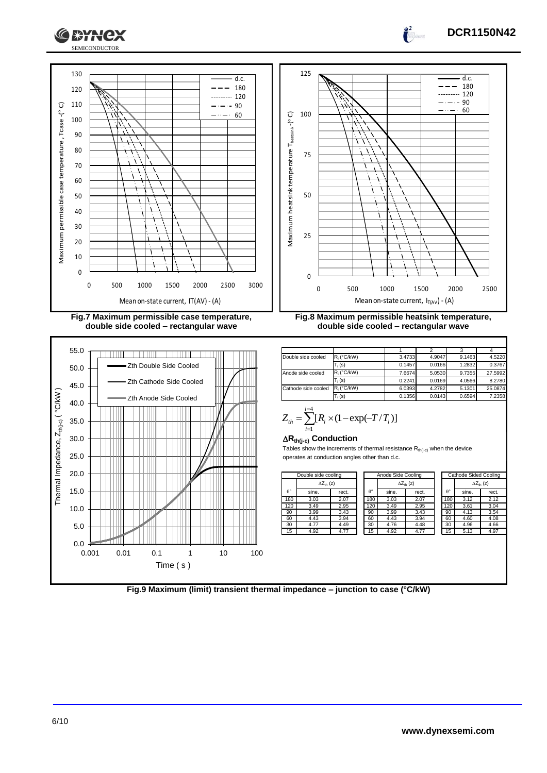



**Fig.7 Maximum permissible case temperature, double side cooled – rectangular wave**



1 | 2 | 3 | 4 **Double side cooled R**<sub>i</sub> (°C/kW) 3.4733 4.9047 9.1463 4.522

**double side cooled – rectangular wave**

|                     | $T_i(s)$      | 0.1457 | 0.0166 | 1.2832 | 0.3767  |
|---------------------|---------------|--------|--------|--------|---------|
| Anode side cooled   | $R_i$ (°C/kW) | 7.6674 | 5.0530 | 9.7355 | 27.5992 |
|                     | $T_i(s)$      | 0.2241 | 0.0169 | 4.0566 | 8.2780  |
| Cathode side cooled | R. (°C/kW)    | 6.0393 | 4.2782 | 5.1301 | 25.0874 |
|                     | $T_i(s)$      | 0.1356 | 0.0143 | 0.6594 | 7.2358  |
|                     |               |        |        |        |         |

$$
Z_{th} = \sum_{i=1}^{i=4} [R_i \times (1 - \exp(-T/T_i))]
$$

### **Rth(j-c) Conduction**

Tables show the increments of thermal resistance  $R_{th(j-c)}$  when the device operates at conduction angles other than d.c.

|                  | Double side cooling |       | Anode Side Cooling |       |                     |     |       |                     | Cathode Sided Cooling |  |
|------------------|---------------------|-------|--------------------|-------|---------------------|-----|-------|---------------------|-----------------------|--|
|                  | $\Delta Z_{th}$ (z) |       |                    |       | $\Delta Z_{th}$ (z) |     |       | $\Delta Z_{th}$ (z) |                       |  |
| $\theta^{\circ}$ | sine.               | rect. | $\theta^{\circ}$   | sine. | rect.               | A°  | sine. | rect.               |                       |  |
| 180              | 3.03                | 2.07  | 180                | 3.03  | 2.07                | 180 | 3.12  | 2.12                |                       |  |
| 120              | 3.49                | 2.95  | 120                | 3.49  | 2.95                | 120 | 3.61  | 3.04                |                       |  |
| 90               | 3.99                | 3.43  | 90                 | 3.99  | 3.43                | 90  | 4.13  | 3.54                |                       |  |
| 60               | 4.43                | 3.94  | 60                 | 4.43  | 3.94                | 60  | 4.60  | 4.08                |                       |  |
| 30               | 4.77                | 4.49  | 30                 | 4.76  | 4.48                | 30  | 4.96  | 4.66                |                       |  |
| 15               | 4.92                | 4.77  | 15                 | 4.92  | 4.77                | 15  | 5.13  | 4.97                |                       |  |
|                  |                     |       |                    |       |                     |     |       |                     |                       |  |

| de cooling          |       | Anode Side Cooling |                  |       |                     | Cathode Sided Cooling |                  |                     |       |
|---------------------|-------|--------------------|------------------|-------|---------------------|-----------------------|------------------|---------------------|-------|
| $\Delta Z_{th}$ (z) |       |                    |                  |       | $\Delta Z_{th}$ (z) |                       |                  | $\Delta Z_{th}$ (z) |       |
|                     | rect. |                    | $\theta^{\circ}$ | sine. | rect.               |                       | $\theta^{\circ}$ | sine.               | rect. |
|                     | 2.07  |                    | 180              | 3.03  | 2.07                |                       | 180              | 3.12                | 2.12  |
|                     | 2.95  |                    | 120              | 3.49  | 2.95                |                       | 120              | 3.61                | 3.04  |
|                     | 3.43  |                    | 90               | 3.99  | 3.43                |                       | 90               | 4.13                | 3.54  |
|                     | 3.94  |                    | 60               | 4.43  | 3.94                |                       | 60               | 4.60                | 4.08  |
|                     | 4.49  |                    | 30               | 4.76  | 4.48                |                       | 30               | 4.96                | 4.66  |
|                     | 4.77  |                    | 15               | 4.92  | 4.77                |                       | 15               | 5.13                | 4.97  |
|                     |       |                    |                  |       |                     |                       |                  |                     |       |
|                     |       |                    |                  |       |                     |                       |                  |                     |       |
|                     |       |                    |                  |       |                     |                       |                  |                     |       |

**DCR1150N42**

 $\overline{d}$ .c. 180

 $\int_0^2$ 

60

**Fig.9 Maximum (limit) transient thermal impedance – junction to case (°C/kW)**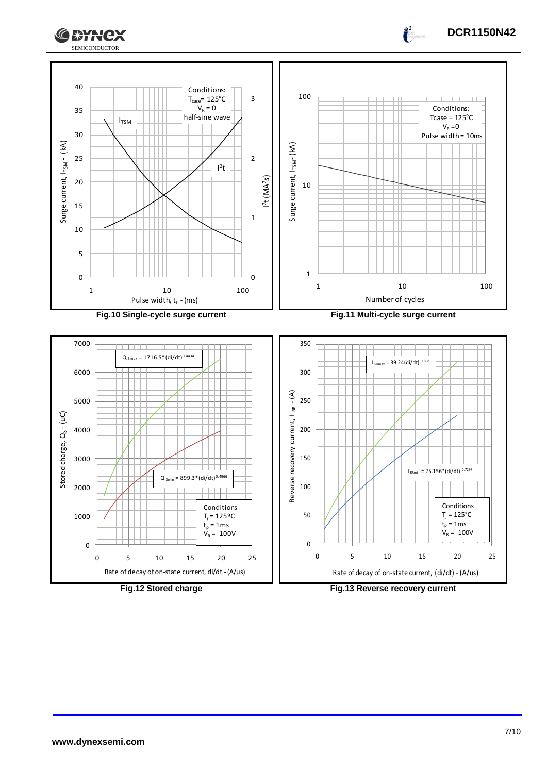



**Fig.12 Stored charge Fig.13 Reverse recovery current**

**DCR1150N42**

 $\frac{2}{1}$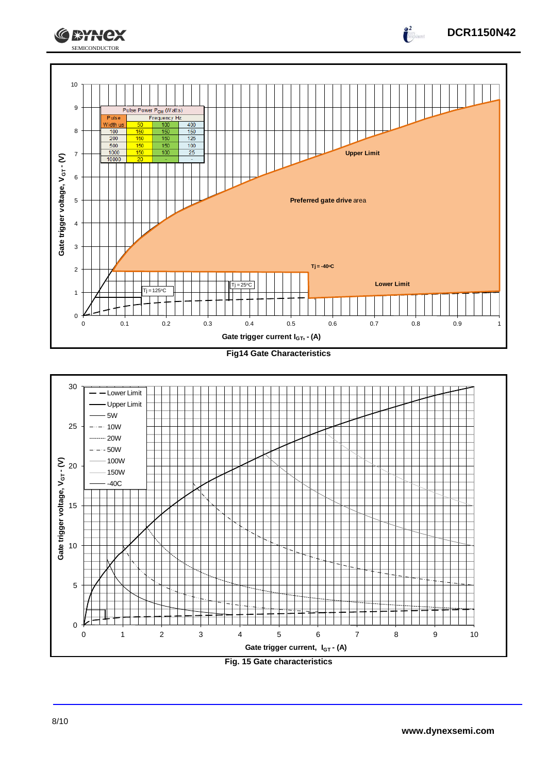





**DCR1150N42**

 $\frac{2}{\sqrt{2}}$ 

**CEYNEX**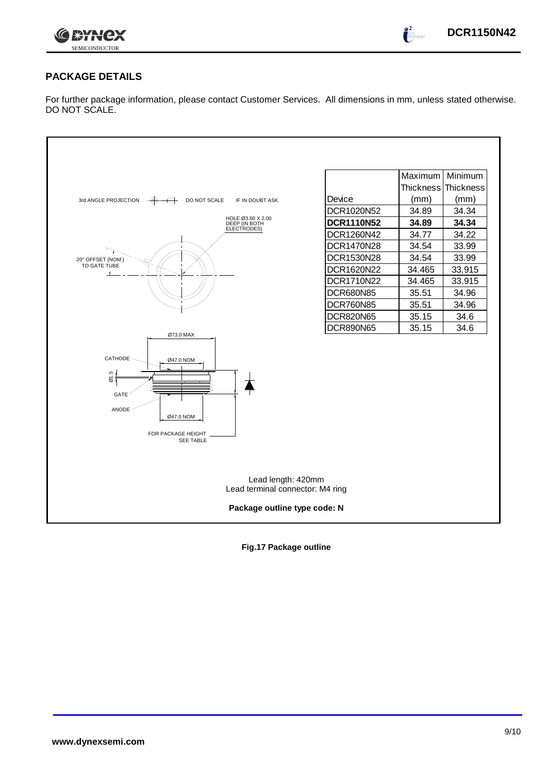

 $\int_0^2$ 

# **PACKAGE DETAILS**

For further package information, please contact Customer Services. All dimensions in mm, unless stated otherwise. DO NOT SCALE.



**Fig.17 Package outline**